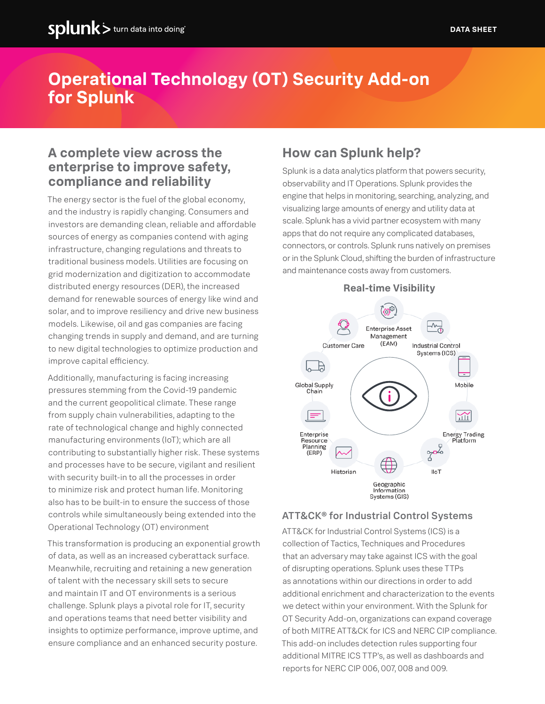# **Operational Technology (OT) Security Add-on for Splunk**

# **A complete view across the enterprise to improve safety, compliance and reliability**

The energy sector is the fuel of the global economy, and the industry is rapidly changing. Consumers and investors are demanding clean, reliable and affordable sources of energy as companies contend with aging infrastructure, changing regulations and threats to traditional business models. Utilities are focusing on grid modernization and digitization to accommodate distributed energy resources (DER), the increased demand for renewable sources of energy like wind and solar, and to improve resiliency and drive new business models. Likewise, oil and gas companies are facing changing trends in supply and demand, and are turning to new digital technologies to optimize production and improve capital efficiency.

Additionally, manufacturing is facing increasing pressures stemming from the Covid-19 pandemic and the current geopolitical climate. These range from supply chain vulnerabilities, adapting to the rate of technological change and highly connected manufacturing environments (IoT); which are all contributing to substantially higher risk. These systems and processes have to be secure, vigilant and resilient with security built-in to all the processes in order to minimize risk and protect human life. Monitoring also has to be built-in to ensure the success of those controls while simultaneously being extended into the Operational Technology (OT) environment

This transformation is producing an exponential growth of data, as well as an increased cyberattack surface. Meanwhile, recruiting and retaining a new generation of talent with the necessary skill sets to secure and maintain IT and OT environments is a serious challenge. Splunk plays a pivotal role for IT, security and operations teams that need better visibility and insights to optimize performance, improve uptime, and ensure compliance and an enhanced security posture.

# **How can Splunk help?**

Splunk is a data analytics platform that powers security, observability and IT Operations. Splunk provides the engine that helps in monitoring, searching, analyzing, and visualizing large amounts of energy and utility data at scale. Splunk has a vivid partner ecosystem with many apps that do not require any complicated databases, connectors, or controls. Splunk runs natively on premises or in the Splunk Cloud, shifting the burden of infrastructure and maintenance costs away from customers.



#### ATT&CK® for Industrial Control Systems

ATT&CK for Industrial Control Systems (ICS) is a collection of Tactics, Techniques and Procedures that an adversary may take against ICS with the goal of disrupting operations. Splunk uses these TTPs as annotations within our directions in order to add additional enrichment and characterization to the events we detect within your environment. With the Splunk for OT Security Add-on, organizations can expand coverage of both MITRE ATT&CK for ICS and NERC CIP compliance. This add-on includes detection rules supporting four additional MITRE ICS TTP's, as well as dashboards and reports for NERC CIP 006, 007, 008 and 009.